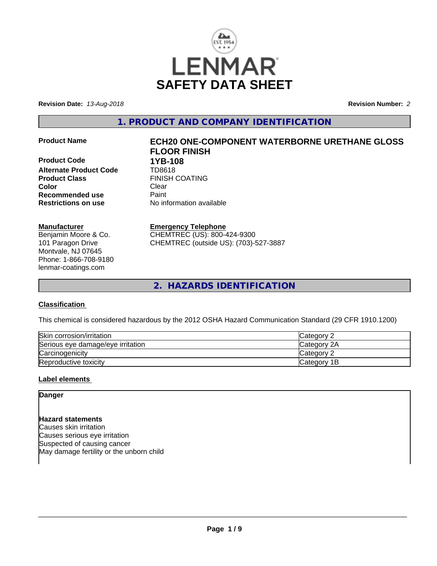

**Revision Date:** *13-Aug-2018* **Revision Number:** *2*

**1. PRODUCT AND COMPANY IDENTIFICATION**

**Product Code 1YB-108 Alternate Product Code** TD8618 **Product Class FINISH COATING Color** Clear Clear **Recommended use** Paint<br> **Restrictions on use** Mo information available **Restrictions on use** 

#### **Manufacturer**

Benjamin Moore & Co. 101 Paragon Drive Montvale, NJ 07645 Phone: 1-866-708-9180 lenmar-coatings.com

# **Product Name ECH20 ONE-COMPONENT WATERBORNE URETHANE GLOSS FLOOR FINISH**

**Emergency Telephone**

CHEMTREC (US): 800-424-9300 CHEMTREC (outside US): (703)-527-3887

**2. HAZARDS IDENTIFICATION**

#### **Classification**

This chemical is considered hazardous by the 2012 OSHA Hazard Communication Standard (29 CFR 1910.1200)

| Skin corrosion/irritation         | Category           |
|-----------------------------------|--------------------|
| Serious eye damage/eye irritation | <b>Category 2A</b> |
| Carcinogenicity                   | Category 2         |
| Reproductive toxicity             | Category 1B        |

#### **Label elements**

**Danger**

**Hazard statements** Causes skin irritation Causes serious eye irritation Suspected of causing cancer May damage fertility or the unborn child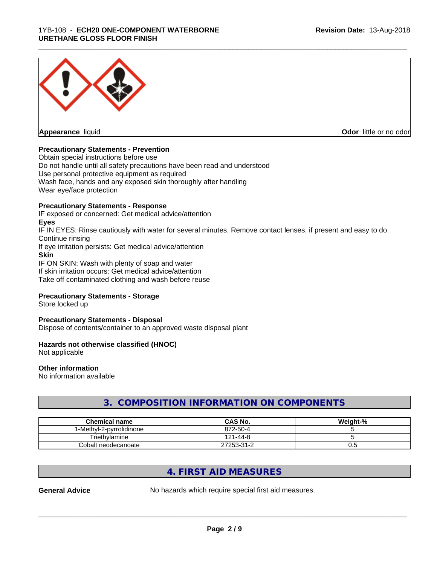

**Appearance** liquid

**Odor** little or no odor

#### **Precautionary Statements - Prevention**

Obtain special instructions before use Do not handle until all safety precautions have been read and understood Use personal protective equipment as required Wash face, hands and any exposed skin thoroughly after handling Wear eye/face protection

#### **Precautionary Statements - Response**

IF exposed or concerned: Get medical advice/attention **Eyes**

IF IN EYES: Rinse cautiously with water for several minutes. Remove contact lenses, if present and easy to do. Continue rinsing

\_\_\_\_\_\_\_\_\_\_\_\_\_\_\_\_\_\_\_\_\_\_\_\_\_\_\_\_\_\_\_\_\_\_\_\_\_\_\_\_\_\_\_\_\_\_\_\_\_\_\_\_\_\_\_\_\_\_\_\_\_\_\_\_\_\_\_\_\_\_\_\_\_\_\_\_\_\_\_\_\_\_\_\_\_\_\_\_\_\_\_\_\_

If eye irritation persists: Get medical advice/attention

### **Skin**

IF ON SKIN: Wash with plenty of soap and water If skin irritation occurs: Get medical advice/attention Take off contaminated clothing and wash before reuse

#### **Precautionary Statements - Storage**

Store locked up

#### **Precautionary Statements - Disposal**

Dispose of contents/container to an approved waste disposal plant

#### **Hazards not otherwise classified (HNOC)**

Not applicable

#### **Other information**

No information available

# **3. COMPOSITION INFORMATION ON COMPONENTS**

| <b>Chemical name</b>    | <b>CAS No.</b>       | Weight-% |
|-------------------------|----------------------|----------|
| -Methyl-2-pyrrolidinone | 872-50-4             |          |
| Triethylamine           | 121۰<br>$1 - 44 - 8$ |          |
| Cobalt neodecanoate     | 27253-31-2           | v.J      |

# **4. FIRST AID MEASURES**

**General Advice** No hazards which require special first aid measures.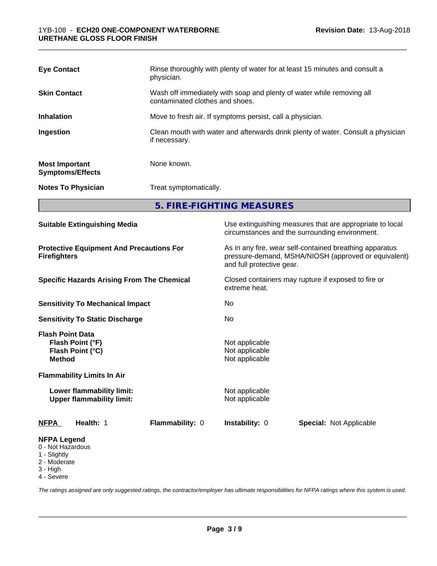| <b>Eye Contact</b>                               | Rinse thoroughly with plenty of water for at least 15 minutes and consult a<br>physician.                |
|--------------------------------------------------|----------------------------------------------------------------------------------------------------------|
| <b>Skin Contact</b>                              | Wash off immediately with soap and plenty of water while removing all<br>contaminated clothes and shoes. |
| <b>Inhalation</b>                                | Move to fresh air. If symptoms persist, call a physician.                                                |
| Ingestion                                        | Clean mouth with water and afterwards drink plenty of water. Consult a physician<br>if necessary.        |
| <b>Most Important</b><br><b>Symptoms/Effects</b> | None known.                                                                                              |
| <b>Notes To Physician</b>                        | Treat symptomatically.                                                                                   |

**5. FIRE-FIGHTING MEASURES**

| <b>Suitable Extinguishing Media</b>                                                                                   | Use extinguishing measures that are appropriate to local<br>circumstances and the surrounding environment.                                   |
|-----------------------------------------------------------------------------------------------------------------------|----------------------------------------------------------------------------------------------------------------------------------------------|
| <b>Protective Equipment And Precautions For</b><br><b>Firefighters</b>                                                | As in any fire, wear self-contained breathing apparatus<br>pressure-demand, MSHA/NIOSH (approved or equivalent)<br>and full protective gear. |
| <b>Specific Hazards Arising From The Chemical</b>                                                                     | Closed containers may rupture if exposed to fire or<br>extreme heat.                                                                         |
| <b>Sensitivity To Mechanical Impact</b>                                                                               | No                                                                                                                                           |
| <b>Sensitivity To Static Discharge</b>                                                                                | No                                                                                                                                           |
| <b>Flash Point Data</b><br>Flash Point (°F)<br>Flash Point (°C)<br><b>Method</b><br><b>Flammability Limits In Air</b> | Not applicable<br>Not applicable<br>Not applicable                                                                                           |
| Lower flammability limit:<br><b>Upper flammability limit:</b>                                                         | Not applicable<br>Not applicable                                                                                                             |
| Health: 1<br>Flammability: 0<br><b>NFPA</b>                                                                           | Instability: 0<br><b>Special: Not Applicable</b>                                                                                             |
| <b>NFPA Legend</b><br>0 - Not Hazardous<br>1 - Slightly<br>2 - Moderate<br>3 - High<br>4 - Severe                     |                                                                                                                                              |

*The ratings assigned are only suggested ratings, the contractor/employer has ultimate responsibilities for NFPA ratings where this system is used.*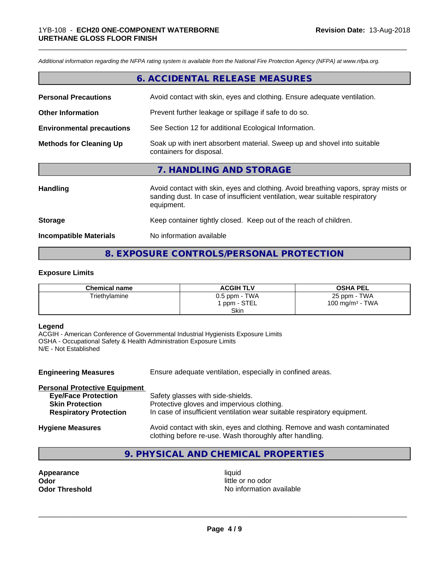*Additional information regarding the NFPA rating system is available from the National Fire Protection Agency (NFPA) at www.nfpa.org.*

# **6. ACCIDENTAL RELEASE MEASURES**

\_\_\_\_\_\_\_\_\_\_\_\_\_\_\_\_\_\_\_\_\_\_\_\_\_\_\_\_\_\_\_\_\_\_\_\_\_\_\_\_\_\_\_\_\_\_\_\_\_\_\_\_\_\_\_\_\_\_\_\_\_\_\_\_\_\_\_\_\_\_\_\_\_\_\_\_\_\_\_\_\_\_\_\_\_\_\_\_\_\_\_\_\_

| <b>Personal Precautions</b>      | Avoid contact with skin, eyes and clothing. Ensure adequate ventilation.                             |
|----------------------------------|------------------------------------------------------------------------------------------------------|
| <b>Other Information</b>         | Prevent further leakage or spillage if safe to do so.                                                |
| <b>Environmental precautions</b> | See Section 12 for additional Ecological Information.                                                |
| <b>Methods for Cleaning Up</b>   | Soak up with inert absorbent material. Sweep up and shovel into suitable<br>containers for disposal. |
|                                  | 7. HANDLING AND STORAGE                                                                              |

| <b>Handling</b>               | Avoid contact with skin, eyes and clothing. Avoid breathing vapors, spray mists or<br>sanding dust. In case of insufficient ventilation, wear suitable respiratory<br>equipment. |
|-------------------------------|----------------------------------------------------------------------------------------------------------------------------------------------------------------------------------|
| <b>Storage</b>                | Keep container tightly closed. Keep out of the reach of children.                                                                                                                |
| <b>Incompatible Materials</b> | No information available                                                                                                                                                         |

### **8. EXPOSURE CONTROLS/PERSONAL PROTECTION**

#### **Exposure Limits**

| <b>Chemical name</b> | <b>ACGIH TLV</b>                | <b>OSHA PEL</b>                    |
|----------------------|---------------------------------|------------------------------------|
| Triethylamine        | $0.5$ ppm - TWA<br>1 ppm - STEL | 25 ppm - TWA<br>100 mg/m $3$ - TWA |
|                      | <b>Skin</b>                     |                                    |

#### **Legend**

ACGIH - American Conference of Governmental Industrial Hygienists Exposure Limits OSHA - Occupational Safety & Health Administration Exposure Limits N/E - Not Established

| <b>Engineering Measures</b>          | Ensure adequate ventilation, especially in confined areas.                                                                          |
|--------------------------------------|-------------------------------------------------------------------------------------------------------------------------------------|
| <b>Personal Protective Equipment</b> |                                                                                                                                     |
| <b>Eye/Face Protection</b>           | Safety glasses with side-shields.                                                                                                   |
| <b>Skin Protection</b>               | Protective gloves and impervious clothing.                                                                                          |
| <b>Respiratory Protection</b>        | In case of insufficient ventilation wear suitable respiratory equipment.                                                            |
| <b>Hygiene Measures</b>              | Avoid contact with skin, eyes and clothing. Remove and wash contaminated<br>clothing before re-use. Wash thoroughly after handling. |

# **9. PHYSICAL AND CHEMICAL PROPERTIES**

**Appearance** liquid **Odor** little or no odor

**Odor Threshold No information available**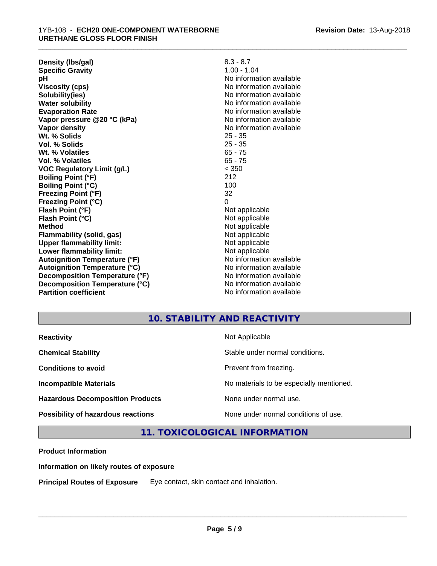**Density (lbs/gal)** 8.3 - 8.7<br> **Specific Gravity** 8.3 - 8.7 **Specific Gravity pH** No information available **Viscosity (cps)** No information available<br> **Solubility (ies)** No information available<br>
No information available **Solubility(ies)**<br> **Water solubility**<br> **Water solubility Evaporation Rate** Note 2008 and 2009 No information available **Vapor pressure @20 °C (kPa)** No information available **Vapor density**<br> **We Solids**<br>
We Solids
25 - 35 **Wt. % Solids** 25 - 35 **Vol. % Solids Wt. % Volatiles** 65 - 75 **Vol. % Volatiles** 65 - 75 **VOC Regulatory Limit (g/L)** < 350 **Boiling Point (°F)** 212 **Boiling Point (°C)** 100<br> **Preezing Point (°F)** 32 **Freezing Point (°F) Freezing Point (°C)** 0 **Flash Point (°F)**<br> **Flash Point (°C)**<br> **Flash Point (°C)**<br> **C Flash Point (°C) Method** Not applicable **Flammability (solid, gas)**<br> **Upper flammability limit:**<br>
Upper flammability limit:<br>  $\begin{array}{ccc}\n\bullet & \bullet & \bullet \\
\bullet & \bullet & \bullet\n\end{array}$  Not applicable **Upper flammability limit:**<br> **Lower flammability limit:**<br>
Not applicable<br>
Not applicable **Lower flammability limit:**<br> **Autoignition Temperature (°F)** Not applicable havailable available **Autoignition Temperature (°F)**<br> **Autoignition Temperature (°C)** No information available **Autoignition Temperature (°C) Decomposition Temperature (°F)** No information available **Decomposition Temperature (°C)**<br> **Partition coefficient**<br> **Partition coefficient**<br> **No** information available

**No information available** 

**No information available** 

\_\_\_\_\_\_\_\_\_\_\_\_\_\_\_\_\_\_\_\_\_\_\_\_\_\_\_\_\_\_\_\_\_\_\_\_\_\_\_\_\_\_\_\_\_\_\_\_\_\_\_\_\_\_\_\_\_\_\_\_\_\_\_\_\_\_\_\_\_\_\_\_\_\_\_\_\_\_\_\_\_\_\_\_\_\_\_\_\_\_\_\_\_

**Revision Date:** 13-Aug-2018

# **10. STABILITY AND REACTIVITY**

| <b>Reactivity</b>                       | Not Applicable                           |
|-----------------------------------------|------------------------------------------|
| <b>Chemical Stability</b>               | Stable under normal conditions.          |
| <b>Conditions to avoid</b>              | Prevent from freezing.                   |
| <b>Incompatible Materials</b>           | No materials to be especially mentioned. |
| <b>Hazardous Decomposition Products</b> | None under normal use.                   |
| Possibility of hazardous reactions      | None under normal conditions of use.     |

# **11. TOXICOLOGICAL INFORMATION**

#### **Product Information**

#### **Information on likely routes of exposure**

**Principal Routes of Exposure** Eye contact, skin contact and inhalation.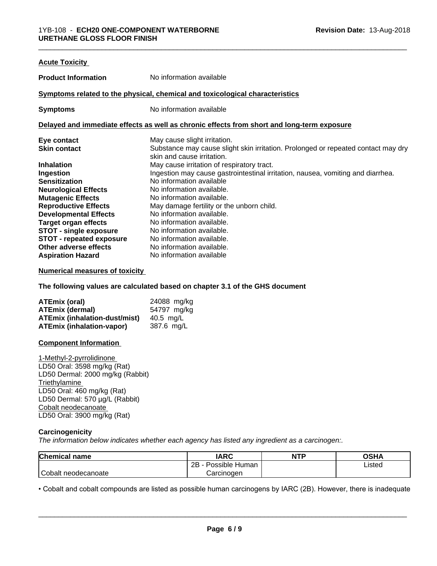| <b>Acute Toxicity</b>           |                                                                                                                 |
|---------------------------------|-----------------------------------------------------------------------------------------------------------------|
| <b>Product Information</b>      | No information available                                                                                        |
|                                 | Symptoms related to the physical, chemical and toxicological characteristics                                    |
| <b>Symptoms</b>                 | No information available                                                                                        |
|                                 | Delayed and immediate effects as well as chronic effects from short and long-term exposure                      |
| Eye contact                     | May cause slight irritation.                                                                                    |
| <b>Skin contact</b>             | Substance may cause slight skin irritation. Prolonged or repeated contact may dry<br>skin and cause irritation. |
| <b>Inhalation</b>               | May cause irritation of respiratory tract.                                                                      |
| Ingestion                       | Ingestion may cause gastrointestinal irritation, nausea, vomiting and diarrhea.                                 |
| <b>Sensitization</b>            | No information available                                                                                        |
| <b>Neurological Effects</b>     | No information available.                                                                                       |
| <b>Mutagenic Effects</b>        | No information available.                                                                                       |
| <b>Reproductive Effects</b>     | May damage fertility or the unborn child.                                                                       |
| <b>Developmental Effects</b>    | No information available.                                                                                       |
| <b>Target organ effects</b>     | No information available.                                                                                       |
| STOT - single exposure          | No information available.                                                                                       |
| <b>STOT - repeated exposure</b> | No information available.                                                                                       |
| Other adverse effects           | No information available.                                                                                       |
| <b>Aspiration Hazard</b>        | No information available                                                                                        |

#### **Numerical measures of toxicity**

**The following values are calculated based on chapter 3.1 of the GHS document**

| ATEmix (oral)                        | 24088 mg/kg |
|--------------------------------------|-------------|
| <b>ATEmix (dermal)</b>               | 54797 mg/kg |
| <b>ATEmix (inhalation-dust/mist)</b> | 40.5 mg/L   |
| ATEmix (inhalation-vapor)            | 387.6 ma/L  |

#### **Component Information**

1-Methyl-2-pyrrolidinone LD50 Oral: 3598 mg/kg (Rat) LD50 Dermal: 2000 mg/kg (Rabbit) **Triethylamine** LD50 Oral: 460 mg/kg (Rat) LD50 Dermal: 570 µg/L (Rabbit) Cobalt neodecanoate LD50 Oral: 3900 mg/kg (Rat)

#### **Carcinogenicity**

*The information below indicateswhether each agency has listed any ingredient as a carcinogen:.*

| <b>Chemical name</b> | <b>IARC</b>          | <b>NTP</b> | <b>OSHA</b> |
|----------------------|----------------------|------------|-------------|
|                      | Possible Human<br>2B |            | Listed      |
| Cobalt neodecanoate  | Carcinoɑen           |            |             |

• Cobalt and cobalt compounds are listed as possible human carcinogens by IARC (2B). However, there is inadequate<br> **Page 6/9**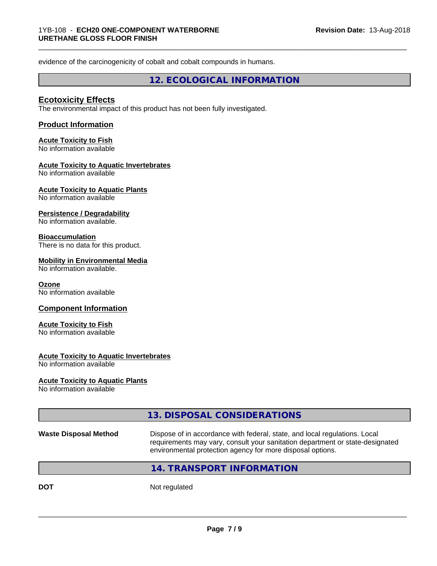evidence of the carcinogenicity of cobalt and cobalt compounds in humans.

**12. ECOLOGICAL INFORMATION**

\_\_\_\_\_\_\_\_\_\_\_\_\_\_\_\_\_\_\_\_\_\_\_\_\_\_\_\_\_\_\_\_\_\_\_\_\_\_\_\_\_\_\_\_\_\_\_\_\_\_\_\_\_\_\_\_\_\_\_\_\_\_\_\_\_\_\_\_\_\_\_\_\_\_\_\_\_\_\_\_\_\_\_\_\_\_\_\_\_\_\_\_\_

# **Ecotoxicity Effects**

The environmental impact of this product has not been fully investigated.

#### **Product Information**

# **Acute Toxicity to Fish**

No information available

#### **Acute Toxicity to Aquatic Invertebrates**

No information available

#### **Acute Toxicity to Aquatic Plants**

No information available

#### **Persistence / Degradability**

No information available.

#### **Bioaccumulation**

There is no data for this product.

#### **Mobility in Environmental Media**

No information available.

#### **Ozone**

No information available

#### **Component Information**

# **Acute Toxicity to Fish**

No information available

#### **Acute Toxicity to Aquatic Invertebrates**

No information available

#### **Acute Toxicity to Aquatic Plants**

No information available

|                              | 13. DISPOSAL CONSIDERATIONS                                                                                                                                                                                               |
|------------------------------|---------------------------------------------------------------------------------------------------------------------------------------------------------------------------------------------------------------------------|
| <b>Waste Disposal Method</b> | Dispose of in accordance with federal, state, and local regulations. Local<br>requirements may vary, consult your sanitation department or state-designated<br>environmental protection agency for more disposal options. |
|                              | 14. TRANSPORT INFORMATION                                                                                                                                                                                                 |
|                              |                                                                                                                                                                                                                           |

**DOT** Not regulated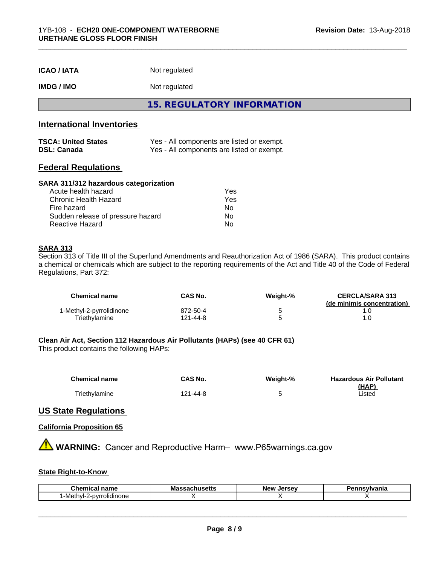| <b>ICAO / IATA</b> | Not regulated |
|--------------------|---------------|
|--------------------|---------------|

# **IMDG / IMO** Not regulated

**15. REGULATORY INFORMATION**

# **International Inventories**

| <b>TSCA: United States</b> | Yes - All components are listed or exempt. |
|----------------------------|--------------------------------------------|
| <b>DSL: Canada</b>         | Yes - All components are listed or exempt. |

### **Federal Regulations**

#### **SARA 311/312 hazardous categorization**

| Acute health hazard               | Yes |
|-----------------------------------|-----|
| Chronic Health Hazard             | Yes |
| Fire hazard                       | Nο  |
| Sudden release of pressure hazard | Nο  |
| Reactive Hazard                   | N٥  |

#### **SARA 313**

Section 313 of Title III of the Superfund Amendments and Reauthorization Act of 1986 (SARA). This product contains a chemical or chemicals which are subject to the reporting requirements of the Act and Title 40 of the Code of Federal Regulations, Part 372:

| Chemical name            | <b>CAS No.</b> | Weiaht-% | <b>CERCLA/SARA 313</b><br>(de minimis concentration) |
|--------------------------|----------------|----------|------------------------------------------------------|
| 1-Methyl-2-pyrrolidinone | 872-50-4       |          |                                                      |
| Triethylamine            | 121-44-8       |          |                                                      |

#### **Clean Air Act,Section 112 Hazardous Air Pollutants (HAPs) (see 40 CFR 61)**

This product contains the following HAPs:

| <b>Chemical name</b> | CAS No.  | Weight-% | <b>Hazardous Air Pollutant</b> |
|----------------------|----------|----------|--------------------------------|
|                      |          |          | (HAP)                          |
| Triethylamine        | 121-44-8 |          | Listed                         |

#### **US State Regulations**

#### **California Proposition 65**

**A WARNING:** Cancer and Reproductive Harm– www.P65warnings.ca.gov

# **State Right-to-Know**

| <b>Chemical name</b><br>Ma'<br>пиэспэ |  | <b>LAFCAV</b><br>Ne۱<br>.<br>ьe | ısvlvania |
|---------------------------------------|--|---------------------------------|-----------|
| rolidinone<br>nvr<br>Methyl-          |  |                                 |           |